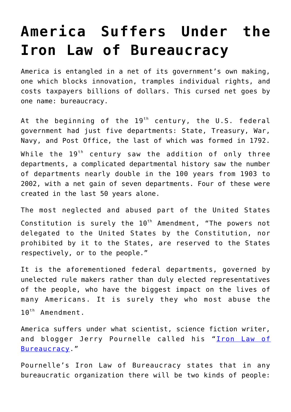## **[America Suffers Under the](https://intellectualtakeout.org/2020/09/america-suffers-under-the-iron-law-of-bureaucracy/) [Iron Law of Bureaucracy](https://intellectualtakeout.org/2020/09/america-suffers-under-the-iron-law-of-bureaucracy/)**

America is entangled in a net of its government's own making, one which blocks innovation, tramples individual rights, and costs taxpayers billions of dollars. This cursed net goes by one name: bureaucracy.

At the beginning of the  $19<sup>th</sup>$  century, the U.S. federal government had just five departments: State, Treasury, War, Navy, and Post Office, the last of which was formed in 1792. While the  $19^{th}$  century saw the addition of only three departments, a complicated departmental history saw the number of departments nearly double in the 100 years from 1903 to 2002, with a net gain of seven departments. Four of these were created in the last 50 years alone.

The most neglected and abused part of the United States Constitution is surely the  $10^{th}$  Amendment, "The powers not delegated to the United States by the Constitution, nor prohibited by it to the States, are reserved to the States respectively, or to the people."

It is the aforementioned federal departments, governed by unelected rule makers rather than duly elected representatives of the people, who have the biggest impact on the lives of many Americans. It is surely they who most abuse the  $10^{th}$  Amendment.

America suffers under what scientist, science fiction writer, and blogger Jerry Pournelle called his "[Iron Law of](https://www.jerrypournelle.com/archives2/archives2mail/mail408.html#Iron) [Bureaucracy.](https://www.jerrypournelle.com/archives2/archives2mail/mail408.html#Iron)"

Pournelle's Iron Law of Bureaucracy states that in any bureaucratic organization there will be two kinds of people: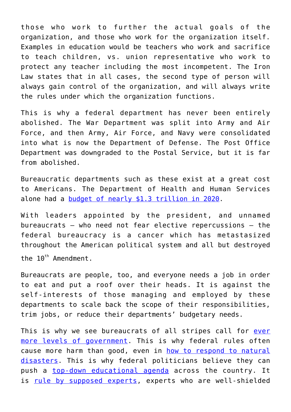those who work to further the actual goals of the organization, and those who work for the organization itself. Examples in education would be teachers who work and sacrifice to teach children, vs. union representative who work to protect any teacher including the most incompetent. The Iron Law states that in all cases, the second type of person will always gain control of the organization, and will always write the rules under which the organization functions.

This is why a federal department has never been entirely abolished. The War Department was split into Army and Air Force, and then Army, Air Force, and Navy were consolidated into what is now the Department of Defense. The Post Office Department was downgraded to the Postal Service, but it is far from abolished.

Bureaucratic departments such as these exist at a great cost to Americans. The Department of Health and Human Services alone had a [budget of nearly \\$1.3 trillion in 2020.](https://www.hhs.gov/about/budget/fy2020/index.html)

With leaders appointed by the president, and unnamed bureaucrats – who need not fear elective repercussions – the federal bureaucracy is a cancer which has metastasized throughout the American political system and all but destroyed the  $10^{th}$  Amendment.

Bureaucrats are people, too, and everyone needs a job in order to eat and put a roof over their heads. It is against the self-interests of those managing and employed by these departments to scale back the scope of their responsibilities, trim jobs, or reduce their departments' budgetary needs.

This is why we see bureaucrats of all stripes call for [ever](https://www.intellectualtakeout.org/world-government-is-closer-than-we-think/) [more levels of government.](https://www.intellectualtakeout.org/world-government-is-closer-than-we-think/) This is why federal rules often cause more harm than good, even in [how to respond to natural](https://www.intellectualtakeout.org/why-u-s-wildfires-hit-california-more-than-the-southeast/) [disasters.](https://www.intellectualtakeout.org/why-u-s-wildfires-hit-california-more-than-the-southeast/) This is why federal politicians believe they can push a [top-down educational agenda](https://www.intellectualtakeout.org/bidens-1619-commission-is-unconstitutional-so-is-trumps-1776-commission/) across the country. It is [rule by supposed experts,](https://www.intellectualtakeout.org/rule-by-experts-is-tyranny-shrouded-in-science/) experts who are well-shielded